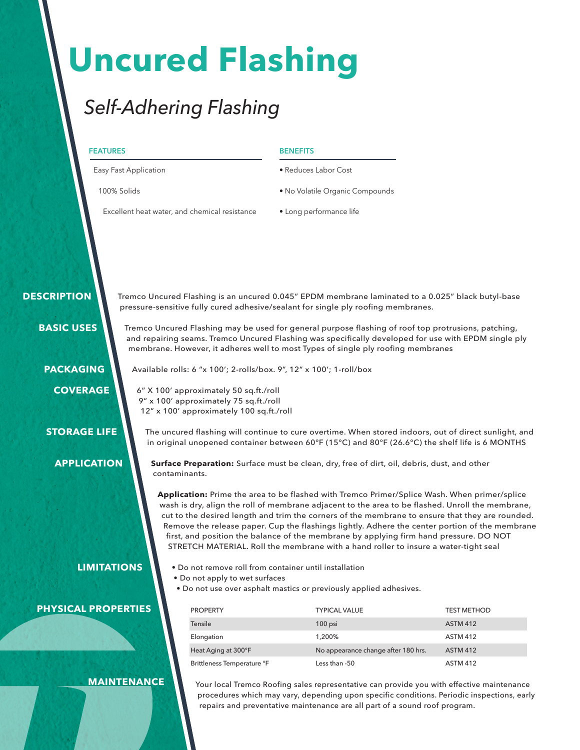# **Uncured Flashing**

## *Self-Adhering Flashing*

|                                        | <b>FEATURES</b><br>Easy Fast Application<br>100% Solids                                                                                                                                                                                                                                         |                                                                                                                              | <b>BENEFITS</b><br>· Reduces Labor Cost<br>• No Volatile Organic Compounds                                                                                                                                                                                                                                                                                                                                                                                                                                                                                                                                                                                                             |                                                                                                |
|----------------------------------------|-------------------------------------------------------------------------------------------------------------------------------------------------------------------------------------------------------------------------------------------------------------------------------------------------|------------------------------------------------------------------------------------------------------------------------------|----------------------------------------------------------------------------------------------------------------------------------------------------------------------------------------------------------------------------------------------------------------------------------------------------------------------------------------------------------------------------------------------------------------------------------------------------------------------------------------------------------------------------------------------------------------------------------------------------------------------------------------------------------------------------------------|------------------------------------------------------------------------------------------------|
|                                        |                                                                                                                                                                                                                                                                                                 |                                                                                                                              |                                                                                                                                                                                                                                                                                                                                                                                                                                                                                                                                                                                                                                                                                        |                                                                                                |
|                                        |                                                                                                                                                                                                                                                                                                 |                                                                                                                              |                                                                                                                                                                                                                                                                                                                                                                                                                                                                                                                                                                                                                                                                                        |                                                                                                |
|                                        |                                                                                                                                                                                                                                                                                                 | Excellent heat water, and chemical resistance                                                                                | • Long performance life                                                                                                                                                                                                                                                                                                                                                                                                                                                                                                                                                                                                                                                                |                                                                                                |
| <b>DESCRIPTION</b>                     |                                                                                                                                                                                                                                                                                                 |                                                                                                                              | Tremco Uncured Flashing is an uncured 0.045" EPDM membrane laminated to a 0.025" black butyl-base<br>pressure-sensitive fully cured adhesive/sealant for single ply roofing membranes.                                                                                                                                                                                                                                                                                                                                                                                                                                                                                                 |                                                                                                |
| <b>BASIC USES</b>                      | Tremco Uncured Flashing may be used for general purpose flashing of roof top protrusions, patching,<br>and repairing seams. Tremco Uncured Flashing was specifically developed for use with EPDM single ply<br>membrane. However, it adheres well to most Types of single ply roofing membranes |                                                                                                                              |                                                                                                                                                                                                                                                                                                                                                                                                                                                                                                                                                                                                                                                                                        |                                                                                                |
| <b>PACKAGING</b>                       |                                                                                                                                                                                                                                                                                                 |                                                                                                                              | Available rolls: 6 "x 100'; 2-rolls/box. 9", 12" x 100'; 1-roll/box                                                                                                                                                                                                                                                                                                                                                                                                                                                                                                                                                                                                                    |                                                                                                |
| <b>COVERAGE</b><br><b>STORAGE LIFE</b> |                                                                                                                                                                                                                                                                                                 | 6" X 100' approximately 50 sq.ft./roll<br>9" x 100' approximately 75 sq.ft./roll<br>12" x 100' approximately 100 sq.ft./roll | The uncured flashing will continue to cure overtime. When stored indoors, out of direct sunlight, and                                                                                                                                                                                                                                                                                                                                                                                                                                                                                                                                                                                  |                                                                                                |
| <b>APPLICATION</b>                     |                                                                                                                                                                                                                                                                                                 | contaminants.                                                                                                                | in original unopened container between 60°F (15°C) and 80°F (26.6°C) the shelf life is 6 MONTHS<br>Surface Preparation: Surface must be clean, dry, free of dirt, oil, debris, dust, and other<br>Application: Prime the area to be flashed with Tremco Primer/Splice Wash. When primer/splice<br>wash is dry, align the roll of membrane adjacent to the area to be flashed. Unroll the membrane,<br>cut to the desired length and trim the corners of the membrane to ensure that they are rounded.<br>first, and position the balance of the membrane by applying firm hand pressure. DO NOT<br>STRETCH MATERIAL. Roll the membrane with a hand roller to insure a water-tight seal | Remove the release paper. Cup the flashings lightly. Adhere the center portion of the membrane |
|                                        | <b>LIMITATIONS</b>                                                                                                                                                                                                                                                                              | . Do not apply to wet surfaces                                                                                               | . Do not remove roll from container until installation<br>. Do not use over asphalt mastics or previously applied adhesives.                                                                                                                                                                                                                                                                                                                                                                                                                                                                                                                                                           |                                                                                                |
| <b>PHYSICAL PROPERTIES</b>             |                                                                                                                                                                                                                                                                                                 | <b>PROPERTY</b>                                                                                                              | <b>TYPICAL VALUE</b>                                                                                                                                                                                                                                                                                                                                                                                                                                                                                                                                                                                                                                                                   | <b>TEST METHOD</b>                                                                             |
|                                        |                                                                                                                                                                                                                                                                                                 | Tensile                                                                                                                      | 100 psi                                                                                                                                                                                                                                                                                                                                                                                                                                                                                                                                                                                                                                                                                | <b>ASTM 412</b>                                                                                |
|                                        |                                                                                                                                                                                                                                                                                                 | Elongation                                                                                                                   | 1,200%                                                                                                                                                                                                                                                                                                                                                                                                                                                                                                                                                                                                                                                                                 | <b>ASTM 412</b>                                                                                |
|                                        |                                                                                                                                                                                                                                                                                                 | Heat Aging at 300°F                                                                                                          | No appearance change after 180 hrs.                                                                                                                                                                                                                                                                                                                                                                                                                                                                                                                                                                                                                                                    | <b>ASTM 412</b>                                                                                |
|                                        |                                                                                                                                                                                                                                                                                                 | Brittleness Temperature °F                                                                                                   | Less than -50                                                                                                                                                                                                                                                                                                                                                                                                                                                                                                                                                                                                                                                                          | <b>ASTM 412</b>                                                                                |
|                                        | <b>MAINTENANCE</b>                                                                                                                                                                                                                                                                              |                                                                                                                              | Your local Tremco Roofing sales representative can provide you with effective maintenance                                                                                                                                                                                                                                                                                                                                                                                                                                                                                                                                                                                              |                                                                                                |

Your local Tremco Roofing sales representative can provide you with effective maintenance procedures which may vary, depending upon specific conditions. Periodic inspections, early repairs and preventative maintenance are all part of a sound roof program.